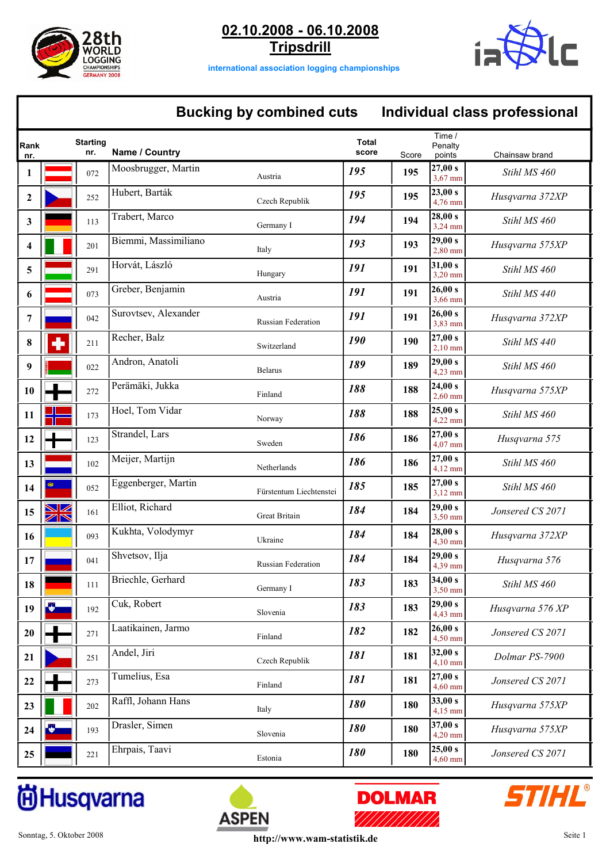



**international association logging championships**

### **Bucking by combined cuts Individual class professional**

| Rank<br>nr. |                                        | <b>Starting</b><br>nr. | Name / Country       |                           | <b>Total</b><br>score | Score | Time /<br>Penalty<br>points | Chainsaw brand   |
|-------------|----------------------------------------|------------------------|----------------------|---------------------------|-----------------------|-------|-----------------------------|------------------|
| 1           |                                        | 072                    | Moosbrugger, Martin  | Austria                   | 195                   | 195   | 27,00 s<br>$3,67$ mm        | Stihl MS 460     |
| 2           |                                        | 252                    | Hubert, Barták       | Czech Republik            | 195                   | 195   | 23,00 s<br>4,76 mm          | Husqvarna 372XP  |
| 3           |                                        | 113                    | Trabert, Marco       | Germany I                 | 194                   | 194   | 28,00 s<br>$3,24$ mm        | Stihl MS 460     |
| 4           |                                        | 201                    | Biemmi, Massimiliano | Italy                     | 193                   | 193   | 29,00 s<br>$2,80$ mm        | Husqvarna 575XP  |
| 5           |                                        | 291                    | Horvát, László       | Hungary                   | 191                   | 191   | 31,00 s<br>$3,20$ mm        | Stihl MS 460     |
| 6           |                                        | 073                    | Greber, Benjamin     | Austria                   | 191                   | 191   | 26,00 s<br>3,66 mm          | Stihl MS 440     |
| 7           |                                        | 042                    | Surovtsev, Alexander | <b>Russian Federation</b> | 191                   | 191   | 26,00 s<br>3,83 mm          | Husqvarna 372XP  |
| 8           |                                        | 211                    | Recher, Balz         | Switzerland               | 190                   | 190   | 27,00 s<br>$2,10$ mm        | Stihl MS 440     |
| 9           |                                        | 022                    | Andron, Anatoli      | <b>Belarus</b>            | 189                   | 189   | 29,00 s<br>4,23 mm          | Stihl MS 460     |
| 10          |                                        | 272                    | Perämäki, Jukka      | Finland                   | 188                   | 188   | 24,00 s<br>$2,60$ mm        | Husqvarna 575XP  |
| 11          |                                        | 173                    | Hoel, Tom Vidar      | Norway                    | 188                   | 188   | 25,00 s<br>4,22 mm          | Stihl MS 460     |
| 12          |                                        | 123                    | Strandel, Lars       | Sweden                    | 186                   | 186   | 27,00 s<br>4,07 mm          | Husqvarna 575    |
| 13          |                                        | 102                    | Meijer, Martijn      | Netherlands               | 186                   | 186   | 27,00 s<br>$4,12$ mm        | Stihl MS 460     |
| 14          |                                        | 052                    | Eggenberger, Martin  | Fürstentum Liechtenstei   | 185                   | 185   | 27,00 s<br>$3,12$ mm        | Stihl MS 460     |
| 15          | ☑<br>$\overline{\mathbb{Z}}\mathbb{N}$ | 161                    | Elliot, Richard      | Great Britain             | 184                   | 184   | 29,00 s<br>3,50 mm          | Jonsered CS 2071 |
| 16          |                                        | 093                    | Kukhta, Volodymyr    | Ukraine                   | 184                   | 184   | 28,00 s<br>$4,30$ mm        | Husqvarna 372XP  |
| 17          |                                        | 041                    | Shvetsov, Ilja       | <b>Russian Federation</b> | 184                   | 184   | 29,00 s<br>4,39 mm          | Husqvarna 576    |
| 18          |                                        | 111                    | Briechle, Gerhard    | Germany I                 | 183                   | 183   | 34,00 s<br>3,50 mm          | Stihl MS 460     |
| 19          |                                        | 192                    | Cuk, Robert          | Slovenia                  | 183                   | 183   | 29,00 s<br>4,43 mm          | Husqvarna 576 XP |
| 20          |                                        | 271                    | Laatikainen, Jarmo   | Finland                   | 182                   | 182   | 26,00 s<br>4,50 mm          | Jonsered CS 2071 |
| 21          |                                        | 251                    | Andel, Jiri          | Czech Republik            | 181                   | 181   | 32,00 s<br>$4,10$ mm        | Dolmar PS-7900   |
| 22          |                                        | 273                    | Tumelius, Esa        | Finland                   | 181                   | 181   | 27,00 s<br>$4,60$ mm        | Jonsered CS 2071 |
| 23          |                                        | 202                    | Raffl, Johann Hans   | Italy                     | 180                   | 180   | 33,00 s<br>$4,15$ mm        | Husqvarna 575XP  |
| 24          |                                        | 193                    | Drasler, Simen       | Slovenia                  | <b>180</b>            | 180   | 37,00 s<br>4,20 mm          | Husqvarna 575XP  |
| 25          |                                        | 221                    | Ehrpais, Taavi       | Estonia                   | 180                   | 180   | 25,00 s<br>$4,60$ mm        | Jonsered CS 2071 |





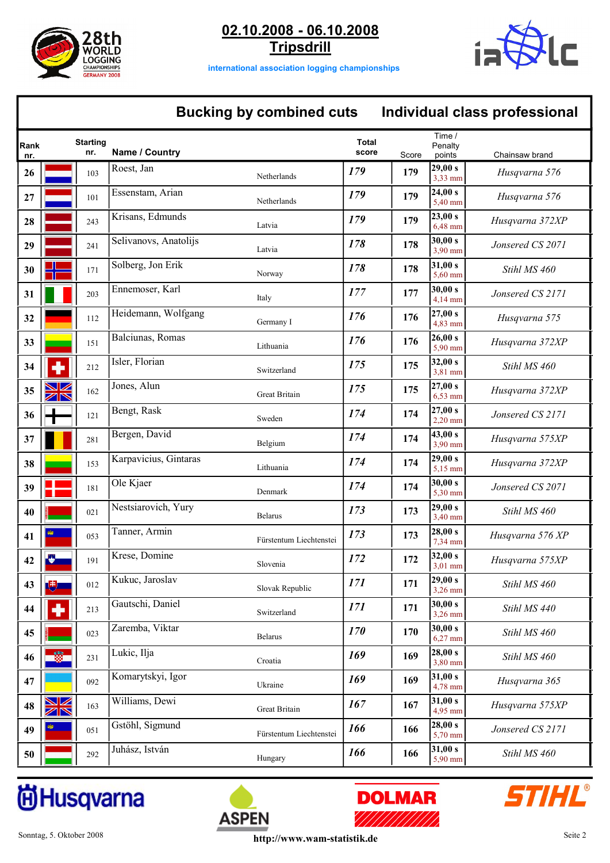



**international association logging championships**

## **Bucking by combined cuts Individual class professional**

| Rank<br>nr. | <b>Starting</b><br>nr. |     | Name / Country        |                         | <b>Total</b><br>score | Score | Time /<br>Penaltv<br>points | Chainsaw brand   |
|-------------|------------------------|-----|-----------------------|-------------------------|-----------------------|-------|-----------------------------|------------------|
| 26          |                        | 103 | Roest, Jan            | Netherlands             | 179                   | 179   | 29,00 s<br>3,33 mm          | Husqvarna 576    |
| 27          |                        | 101 | Essenstam, Arian      | Netherlands             | 179                   | 179   | 24,00 s<br>5,40 mm          | Husqvarna 576    |
| 28          |                        | 243 | Krisans, Edmunds      | Latvia                  | 179                   | 179   | 23,00 s<br>6,48 mm          | Husqvarna 372XP  |
| 29          |                        | 241 | Selivanovs, Anatolijs | Latvia                  | 178                   | 178   | 30,00 s<br>3,90 mm          | Jonsered CS 2071 |
| 30          |                        | 171 | Solberg, Jon Erik     | Norway                  | 178                   | 178   | 31,00 s<br>5,60 mm          | Stihl MS 460     |
| 31          |                        | 203 | Ennemoser, Karl       | Italy                   | 177                   | 177   | 30,00 s<br>4,14 mm          | Jonsered CS 2171 |
| 32          |                        | 112 | Heidemann, Wolfgang   | Germany I               | 176                   | 176   | 27,00 s<br>4,83 mm          | Husqvarna 575    |
| 33          |                        | 151 | Balciunas, Romas      | Lithuania               | 176                   | 176   | 26,00 s<br>5.90 mm          | Husqvarna 372XP  |
| 34          |                        | 212 | Isler, Florian        | Switzerland             | 175                   | 175   | 32,00 s<br>3,81 mm          | Stihl MS 460     |
| 35          | <b>SK</b>              | 162 | Jones, Alun           | Great Britain           | 175                   | 175   | 27,00 s<br>$6,53$ mm        | Husqvarna 372XP  |
| 36          |                        | 121 | Bengt, Rask           | Sweden                  | 174                   | 174   | 27,00 s<br>$2,20$ mm        | Jonsered CS 2171 |
| 37          |                        | 281 | Bergen, David         | Belgium                 | 174                   | 174   | 43,00 s<br>3,90 mm          | Husqvarna 575XP  |
| 38          |                        | 153 | Karpavicius, Gintaras | Lithuania               | 174                   | 174   | 29,00 s<br>5,15 mm          | Husqvarna 372XP  |
| 39          |                        | 181 | Ole Kjaer             | Denmark                 | 174                   | 174   | 30,00 s<br>5,30 mm          | Jonsered CS 2071 |
| 40          |                        | 021 | Nestsiarovich, Yury   | <b>Belarus</b>          | 173                   | 173   | 29,00 s<br>3,40 mm          | Stihl MS 460     |
| 41          |                        | 053 | Tanner, Armin         | Fürstentum Liechtenstei | 173                   | 173   | 28,00 s<br>7,34 mm          | Husqvarna 576 XP |
| 42          |                        | 191 | Krese, Domine         | Slovenia                | 172                   | 172   | 32,00 s<br>$3,01$ mm        | Husqvarna 575XP  |
| 43          | $\mathbb{E}$           | 012 | Kukuc, Jaroslav       | Slovak Republic         | 171                   | 171   | 29,00 s<br>$3,26$ mm        | Stihl MS 460     |
| 44          |                        | 213 | Gautschi, Daniel      | Switzerland             | 171                   | 171   | 30,00 s<br>3,26 mm          | Stihl MS 440     |
| 45          |                        | 023 | Zaremba, Viktar       | Belarus                 | 170                   | 170   | 30,00 s<br>6,27 mm          | Stihl MS 460     |
| 46          |                        | 231 | Lukic, Ilja           | Croatia                 | 169                   | 169   | 28,00 s<br>3,80 mm          | Stihl MS 460     |
| 47          |                        | 092 | Komarytskyi, Igor     | Ukraine                 | 169                   | 169   | 31,00 s<br>4,78 mm          | Husqvarna 365    |
| 48          | <u>NK</u>              | 163 | Williams, Dewi        | Great Britain           | 167                   | 167   | 31,00 s<br>4,95 mm          | Husqvarna 575XP  |
| 49          |                        | 051 | Gstöhl, Sigmund       | Fürstentum Liechtenstei | 166                   | 166   | 28,00 s<br>$5,70$ mm        | Jonsered CS 2171 |
| 50          |                        | 292 | Juhász, István        | Hungary                 | 166                   | 166   | 31,00 s<br>5,90 mm          | Stihl MS 460     |





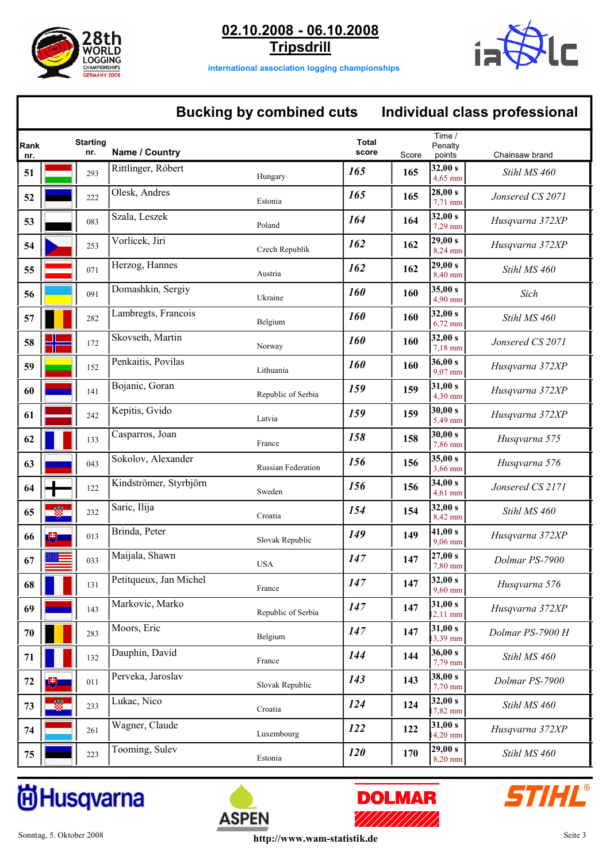



**international association logging championships**

### **Bucking by combined cuts Individual class professional**

| Rank<br>nr. |   | <b>Starting</b><br>nr. | Name / Country         |                    | <b>Total</b><br>score | Score | Time /<br>Penalty<br>points | Chainsaw brand   |
|-------------|---|------------------------|------------------------|--------------------|-----------------------|-------|-----------------------------|------------------|
| 51          |   | 293                    | Rittlinger, Róbert     | Hungary            | 165                   | 165   | 32,00 s<br>4,65 mm          | Stihl MS 460     |
| 52          |   | 222                    | Olesk, Andres          | Estonia            | 165                   | 165   | 28,00 s<br>7,71 mm          | Jonsered CS 2071 |
| 53          |   | 083                    | Szala, Leszek          | Poland             | 164                   | 164   | 32,00 s<br>7,29 mm          | Husqvarna 372XP  |
| 54          |   | 253                    | Vorlicek, Jiri         | Czech Republik     | 162                   | 162   | 29,00 s<br>8,24 mm          | Husqvarna 372XP  |
| 55          |   | 071                    | Herzog, Hannes         | Austria            | 162                   | 162   | 29,00 s<br>8,40 mm          | Stihl MS 460     |
| 56          |   | 091                    | Domashkin, Sergiy      | Ukraine            | <b>160</b>            | 160   | 35,00 s<br>4,90 mm          | Sich             |
| 57          |   | 282                    | Lambregts, Francois    | Belgium            | <b>160</b>            | 160   | 32,00 s<br>$6,72$ mm        | Stihl MS 460     |
| 58          |   | 172                    | Skovseth, Martin       | Norway             | 160                   | 160   | 32,00 s<br>$7,18$ mm        | Jonsered CS 2071 |
| 59          |   | 152                    | Penkaitis, Povilas     | Lithuania          | 160                   | 160   | 36,00 s<br>9,07 mm          | Husqvarna 372XP  |
| 60          |   | 141                    | Bojanic, Goran         | Republic of Serbia | 159                   | 159   | 31,00 s<br>4,30 mm          | Husqvarna 372XP  |
| 61          |   | 242                    | Kepitis, Gvido         | Latvia             | 159                   | 159   | 30,00 s<br>5,49 mm          | Husqvarna 372XP  |
| 62          |   | 133                    | Casparros, Joan        | France             | 158                   | 158   | 30,00 s<br>7,86 mm          | Husqvarna 575    |
| 63          |   | 043                    | Sokolov, Alexander     | Russian Federation | 156                   | 156   | 35,00 s<br>3,66 mm          | Husqvarna 576    |
| 64          |   | 122                    | Kindströmer, Styrbjörn | Sweden             | 156                   | 156   | 34,00 s<br>4,61 mm          | Jonsered CS 2171 |
| 65          |   | 232                    | Saric, Ilija           | Croatia            | 154                   | 154   | 32,00 s<br>8,42 mm          | Stihl MS 460     |
| 66          | 叫 | 013                    | Brinda, Peter          | Slovak Republic    | 149                   | 149   | 41,00 s<br>9,06 mm          | Husqvarna 372XP  |
| 67          |   | 033                    | Maijala, Shawn         | <b>USA</b>         | 147                   | 147   | 27,00 s<br>7,80 mm          | Dolmar PS-7900   |
| 68          |   | 131                    | Petitqueux, Jan Michel | France             | 147                   | 147   | 32,00 s<br>9,60 mm          | Husqvarna 576    |
| 69          |   | 143                    | Markovic, Marko        | Republic of Serbia | 147                   | 147   | 31,00 s<br>12,11 mm         | Husqvarna 372XP  |
| 70          |   | 283                    | Moors, Eric            | Belgium            | 147                   | 147   | 31,00 s<br>13,39 mm         | Dolmar PS-7900 H |
| 71          |   | 132                    | Dauphin, David         | France             | 144                   | 144   | 36,00 s<br>7,79 mm          | Stihl MS 460     |
| 72          | 嗖 | 011                    | Perveka, Jaroslav      | Slovak Republic    | 143                   | 143   | 38,00 s<br>7,70 mm          | Dolmar PS-7900   |
| 73          |   | 233                    | Lukac, Nico            | Croatia            | 124                   | 124   | 32,00 s<br>7,82 mm          | Stihl MS 460     |
| 74          |   | 261                    | Wagner, Claude         | Luxembourg         | 122                   | 122   | 31,00 s<br>$14,20$ mm       | Husqvarna 372XP  |
| 75          |   | 223                    | Tooming, Sulev         | Estonia            | <b>120</b>            | 170   | 29,00 s<br>$8,20$ mm        | Stihl MS 460     |





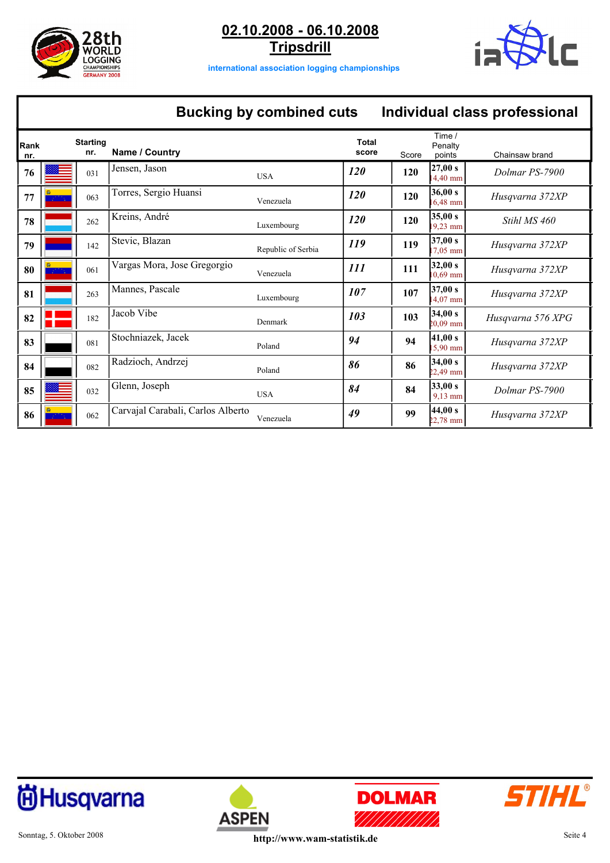



**international association logging championships**

# **Bucking by combined cuts Individual class professional**

| Rank<br>nr. | <b>Starting</b><br>nr. | Name / Country                    |                    | <b>Total</b><br>score | Score | Time /<br>Penalty<br>points   | Chainsaw brand    |
|-------------|------------------------|-----------------------------------|--------------------|-----------------------|-------|-------------------------------|-------------------|
| 76          | 031                    | Jensen, Jason                     | <b>USA</b>         | <b>120</b>            | 120   | 27,00 s<br>4,40 mm            | Dolmar PS-7900    |
| 77          | 063                    | Torres, Sergio Huansi             | Venezuela          | <b>120</b>            | 120   | 36,00 s<br>$6,48$ mm          | Husqvarna 372XP   |
| 78          | 262                    | Kreins, André                     | Luxembourg         | <b>120</b>            | 120   | 35,00 s<br>9,23 mm            | Stihl MS 460      |
| 79          | 142                    | Stevic, Blazan                    | Republic of Serbia | 119                   | 119   | 37,00 s<br>$7,05$ mm          | Husqvarna 372XP   |
| 80          | 061                    | Vargas Mora, Jose Gregorgio       | Venezuela          | 111                   | 111   | 32,00 s<br>$0.69$ mm          | Husqvarna 372XP   |
| 81          | 263                    | Mannes, Pascale                   | Luxembourg         | 107                   | 107   | 37,00 s<br>$4,07$ mm          | Husqvarna 372XP   |
| 82          | 182                    | Jacob Vibe                        | Denmark            | 103                   | 103   | 34,00 s<br>$20,09$ mm         | Husqvarna 576 XPG |
| 83          | 081                    | Stochniazek, Jacek                | Poland             | 94                    | 94    | 41,00 s<br>5,90 mm            | Husqvarna 372XP   |
| 84          | 082                    | Radzioch, Andrzej                 | Poland             | 86                    | 86    | 34,00 s<br>$22,49$ mm         | Husqvarna 372XP   |
| 85          | 032                    | Glenn, Joseph                     | <b>USA</b>         | 84                    | 84    | 33,00 s<br>$9,13$ mm          | Dolmar PS-7900    |
| 86          | 062                    | Carvajal Carabali, Carlos Alberto | Venezuela          | 49                    | 99    | 44,00 s<br>$22,78 \text{ mm}$ | Husqvarna 372XP   |